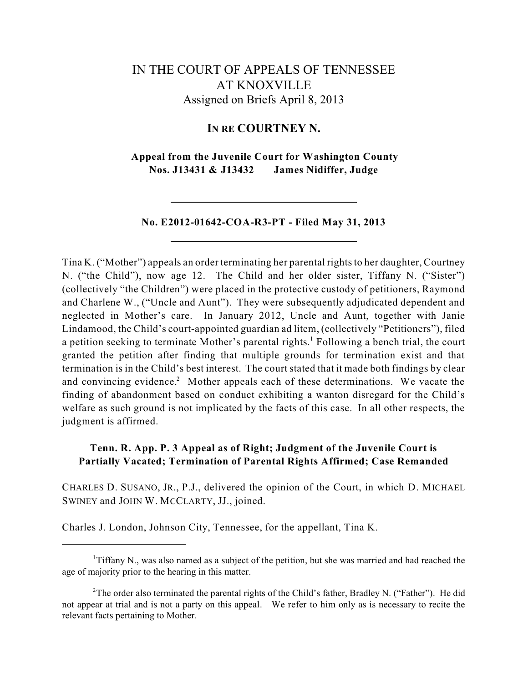# IN THE COURT OF APPEALS OF TENNESSEE AT KNOXVILLE Assigned on Briefs April 8, 2013

## **IN RE COURTNEY N.**

**Appeal from the Juvenile Court for Washington County Nos. J13431 & J13432 James Nidiffer, Judge**

### **No. E2012-01642-COA-R3-PT - Filed May 31, 2013**

Tina K. ("Mother") appeals an order terminating her parental rights to her daughter, Courtney N. ("the Child"), now age 12. The Child and her older sister, Tiffany N. ("Sister") (collectively "the Children") were placed in the protective custody of petitioners, Raymond and Charlene W., ("Uncle and Aunt"). They were subsequently adjudicated dependent and neglected in Mother's care. In January 2012, Uncle and Aunt, together with Janie Lindamood, the Child's court-appointed guardian ad litem, (collectively "Petitioners"), filed a petition seeking to terminate Mother's parental rights.<sup>1</sup> Following a bench trial, the court granted the petition after finding that multiple grounds for termination exist and that termination is in the Child's best interest. The court stated that it made both findings by clear and convincing evidence.<sup>2</sup> Mother appeals each of these determinations. We vacate the finding of abandonment based on conduct exhibiting a wanton disregard for the Child's welfare as such ground is not implicated by the facts of this case. In all other respects, the judgment is affirmed.

### **Tenn. R. App. P. 3 Appeal as of Right; Judgment of the Juvenile Court is Partially Vacated; Termination of Parental Rights Affirmed; Case Remanded**

CHARLES D. SUSANO, JR., P.J., delivered the opinion of the Court, in which D. MICHAEL SWINEY and JOHN W. MCCLARTY, JJ., joined.

Charles J. London, Johnson City, Tennessee, for the appellant, Tina K.

 $T$ Tiffany N., was also named as a subject of the petition, but she was married and had reached the age of majority prior to the hearing in this matter.

<sup>&</sup>lt;sup>2</sup>The order also terminated the parental rights of the Child's father, Bradley N. ("Father"). He did not appear at trial and is not a party on this appeal. We refer to him only as is necessary to recite the relevant facts pertaining to Mother.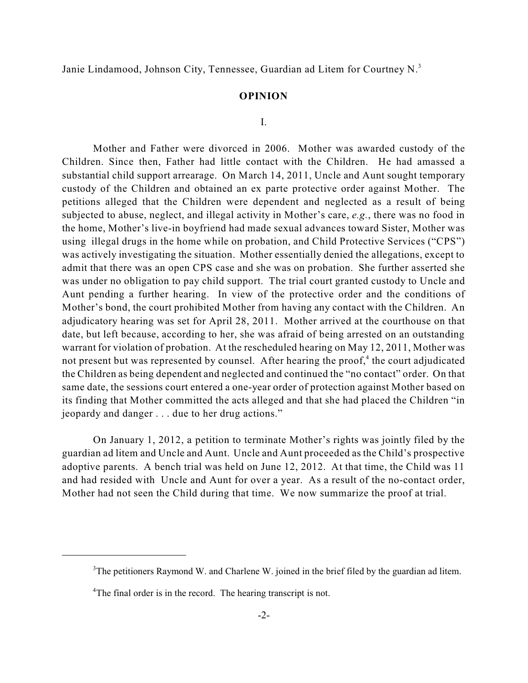Janie Lindamood, Johnson City, Tennessee, Guardian ad Litem for Courtney N.<sup>3</sup>

### **OPINION**

#### I.

Mother and Father were divorced in 2006. Mother was awarded custody of the Children. Since then, Father had little contact with the Children. He had amassed a substantial child support arrearage. On March 14, 2011, Uncle and Aunt sought temporary custody of the Children and obtained an ex parte protective order against Mother. The petitions alleged that the Children were dependent and neglected as a result of being subjected to abuse, neglect, and illegal activity in Mother's care, *e.g.*, there was no food in the home, Mother's live-in boyfriend had made sexual advances toward Sister, Mother was using illegal drugs in the home while on probation, and Child Protective Services ("CPS") was actively investigating the situation. Mother essentially denied the allegations, except to admit that there was an open CPS case and she was on probation. She further asserted she was under no obligation to pay child support. The trial court granted custody to Uncle and Aunt pending a further hearing. In view of the protective order and the conditions of Mother's bond, the court prohibited Mother from having any contact with the Children. An adjudicatory hearing was set for April 28, 2011. Mother arrived at the courthouse on that date, but left because, according to her, she was afraid of being arrested on an outstanding warrant for violation of probation. At the rescheduled hearing on May 12, 2011, Mother was not present but was represented by counsel. After hearing the proof,<sup>4</sup> the court adjudicated the Children as being dependent and neglected and continued the "no contact" order. On that same date, the sessions court entered a one-year order of protection against Mother based on its finding that Mother committed the acts alleged and that she had placed the Children "in jeopardy and danger . . . due to her drug actions."

On January 1, 2012, a petition to terminate Mother's rights was jointly filed by the guardian ad litem and Uncle and Aunt. Uncle and Aunt proceeded as the Child's prospective adoptive parents. A bench trial was held on June 12, 2012. At that time, the Child was 11 and had resided with Uncle and Aunt for over a year. As a result of the no-contact order, Mother had not seen the Child during that time. We now summarize the proof at trial.

 $3$ The petitioners Raymond W. and Charlene W. joined in the brief filed by the guardian ad litem.

 $4$ The final order is in the record. The hearing transcript is not.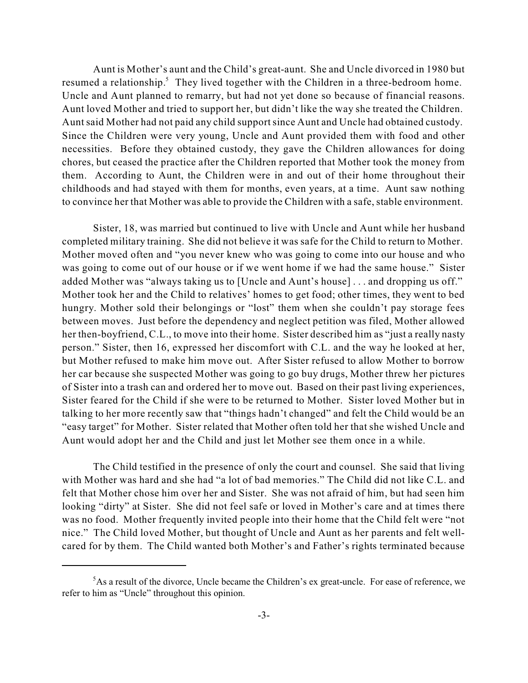Aunt is Mother's aunt and the Child's great-aunt. She and Uncle divorced in 1980 but resumed a relationship.<sup>5</sup> They lived together with the Children in a three-bedroom home. Uncle and Aunt planned to remarry, but had not yet done so because of financial reasons. Aunt loved Mother and tried to support her, but didn't like the way she treated the Children. Aunt said Mother had not paid any child supportsince Aunt and Uncle had obtained custody. Since the Children were very young, Uncle and Aunt provided them with food and other necessities. Before they obtained custody, they gave the Children allowances for doing chores, but ceased the practice after the Children reported that Mother took the money from them. According to Aunt, the Children were in and out of their home throughout their childhoods and had stayed with them for months, even years, at a time. Aunt saw nothing to convince her that Mother was able to provide the Children with a safe, stable environment.

Sister, 18, was married but continued to live with Uncle and Aunt while her husband completed military training. She did not believe it was safe for the Child to return to Mother. Mother moved often and "you never knew who was going to come into our house and who was going to come out of our house or if we went home if we had the same house." Sister added Mother was "always taking us to [Uncle and Aunt's house] . . . and dropping us off." Mother took her and the Child to relatives' homes to get food; other times, they went to bed hungry. Mother sold their belongings or "lost" them when she couldn't pay storage fees between moves. Just before the dependency and neglect petition was filed, Mother allowed her then-boyfriend, C.L., to move into their home. Sister described him as "just a really nasty person." Sister, then 16, expressed her discomfort with C.L. and the way he looked at her, but Mother refused to make him move out. After Sister refused to allow Mother to borrow her car because she suspected Mother was going to go buy drugs, Mother threw her pictures of Sister into a trash can and ordered her to move out. Based on their past living experiences, Sister feared for the Child if she were to be returned to Mother. Sister loved Mother but in talking to her more recently saw that "things hadn't changed" and felt the Child would be an "easy target" for Mother. Sister related that Mother often told her that she wished Uncle and Aunt would adopt her and the Child and just let Mother see them once in a while.

The Child testified in the presence of only the court and counsel. She said that living with Mother was hard and she had "a lot of bad memories." The Child did not like C.L. and felt that Mother chose him over her and Sister. She was not afraid of him, but had seen him looking "dirty" at Sister. She did not feel safe or loved in Mother's care and at times there was no food. Mother frequently invited people into their home that the Child felt were "not nice." The Child loved Mother, but thought of Uncle and Aunt as her parents and felt wellcared for by them. The Child wanted both Mother's and Father's rights terminated because

 ${}^{5}$ As a result of the divorce, Uncle became the Children's ex great-uncle. For ease of reference, we refer to him as "Uncle" throughout this opinion.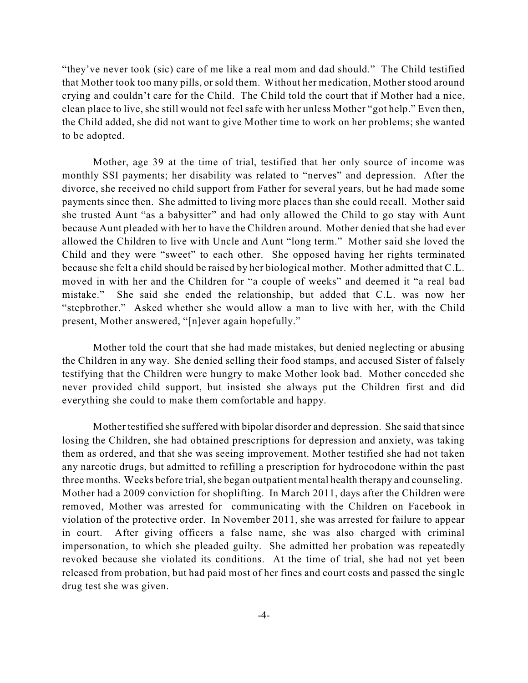"they've never took (sic) care of me like a real mom and dad should." The Child testified that Mother took too many pills, or sold them. Without her medication, Mother stood around crying and couldn't care for the Child. The Child told the court that if Mother had a nice, clean place to live, she still would not feel safe with her unless Mother "got help." Even then, the Child added, she did not want to give Mother time to work on her problems; she wanted to be adopted.

Mother, age 39 at the time of trial, testified that her only source of income was monthly SSI payments; her disability was related to "nerves" and depression. After the divorce, she received no child support from Father for several years, but he had made some payments since then. She admitted to living more places than she could recall. Mother said she trusted Aunt "as a babysitter" and had only allowed the Child to go stay with Aunt because Aunt pleaded with her to have the Children around. Mother denied that she had ever allowed the Children to live with Uncle and Aunt "long term." Mother said she loved the Child and they were "sweet" to each other. She opposed having her rights terminated because she felt a child should be raised by her biological mother. Mother admitted that C.L. moved in with her and the Children for "a couple of weeks" and deemed it "a real bad mistake." She said she ended the relationship, but added that C.L. was now her "stepbrother." Asked whether she would allow a man to live with her, with the Child present, Mother answered, "[n]ever again hopefully."

Mother told the court that she had made mistakes, but denied neglecting or abusing the Children in any way. She denied selling their food stamps, and accused Sister of falsely testifying that the Children were hungry to make Mother look bad. Mother conceded she never provided child support, but insisted she always put the Children first and did everything she could to make them comfortable and happy.

Mother testified she suffered with bipolar disorder and depression. She said thatsince losing the Children, she had obtained prescriptions for depression and anxiety, was taking them as ordered, and that she was seeing improvement. Mother testified she had not taken any narcotic drugs, but admitted to refilling a prescription for hydrocodone within the past three months. Weeks before trial, she began outpatient mental health therapy and counseling. Mother had a 2009 conviction for shoplifting. In March 2011, days after the Children were removed, Mother was arrested for communicating with the Children on Facebook in violation of the protective order. In November 2011, she was arrested for failure to appear in court. After giving officers a false name, she was also charged with criminal impersonation, to which she pleaded guilty. She admitted her probation was repeatedly revoked because she violated its conditions. At the time of trial, she had not yet been released from probation, but had paid most of her fines and court costs and passed the single drug test she was given.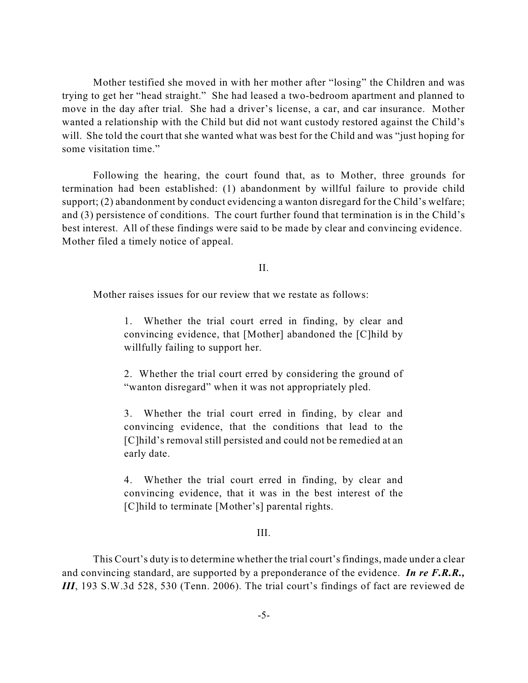Mother testified she moved in with her mother after "losing" the Children and was trying to get her "head straight." She had leased a two-bedroom apartment and planned to move in the day after trial. She had a driver's license, a car, and car insurance. Mother wanted a relationship with the Child but did not want custody restored against the Child's will. She told the court that she wanted what was best for the Child and was "just hoping for some visitation time."

Following the hearing, the court found that, as to Mother, three grounds for termination had been established: (1) abandonment by willful failure to provide child support; (2) abandonment by conduct evidencing a wanton disregard for the Child's welfare; and (3) persistence of conditions. The court further found that termination is in the Child's best interest. All of these findings were said to be made by clear and convincing evidence. Mother filed a timely notice of appeal.

II.

Mother raises issues for our review that we restate as follows:

1. Whether the trial court erred in finding, by clear and convincing evidence, that [Mother] abandoned the [C]hild by willfully failing to support her.

2. Whether the trial court erred by considering the ground of "wanton disregard" when it was not appropriately pled.

3. Whether the trial court erred in finding, by clear and convincing evidence, that the conditions that lead to the [C]hild's removal still persisted and could not be remedied at an early date.

4. Whether the trial court erred in finding, by clear and convincing evidence, that it was in the best interest of the [C]hild to terminate [Mother's] parental rights.

### III.

This Court's duty is to determine whether the trial court's findings, made under a clear and convincing standard, are supported by a preponderance of the evidence. *In re F.R.R., III*, 193 S.W.3d 528, 530 (Tenn. 2006). The trial court's findings of fact are reviewed de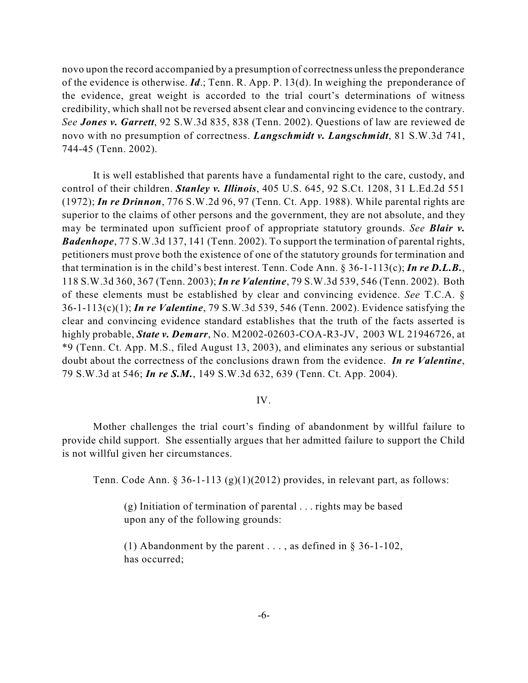novo upon the record accompanied by a presumption of correctness unlessthe preponderance of the evidence is otherwise. *Id*.; Tenn. R. App. P. 13(d). In weighing the preponderance of the evidence, great weight is accorded to the trial court's determinations of witness credibility, which shall not be reversed absent clear and convincing evidence to the contrary. *See Jones v. Garrett*, 92 S.W.3d 835, 838 (Tenn. 2002). Questions of law are reviewed de novo with no presumption of correctness. *Langschmidt v. Langschmidt*, 81 S.W.3d 741, 744-45 (Tenn. 2002).

It is well established that parents have a fundamental right to the care, custody, and control of their children. *Stanley v. Illinois*, 405 U.S. 645, 92 S.Ct. 1208, 31 L.Ed.2d 551 (1972); *In re Drinnon*, 776 S.W.2d 96, 97 (Tenn. Ct. App. 1988). While parental rights are superior to the claims of other persons and the government, they are not absolute, and they may be terminated upon sufficient proof of appropriate statutory grounds. *See Blair v. Badenhope*, 77 S.W.3d 137, 141 (Tenn. 2002). To support the termination of parental rights, petitioners must prove both the existence of one of the statutory grounds for termination and that termination is in the child's best interest. Tenn. Code Ann. § 36-1-113(c); *In re D.L.B.*, 118 S.W.3d 360, 367 (Tenn. 2003); *In re Valentine*, 79 S.W.3d 539, 546 (Tenn. 2002). Both of these elements must be established by clear and convincing evidence. *See* T.C.A. § 36-1-113(c)(1); *In re Valentine*, 79 S.W.3d 539, 546 (Tenn. 2002). Evidence satisfying the clear and convincing evidence standard establishes that the truth of the facts asserted is highly probable, *State v. Demarr*, No. M2002-02603-COA-R3-JV, 2003 WL 21946726, at \*9 (Tenn. Ct. App. M.S., filed August 13, 2003), and eliminates any serious or substantial doubt about the correctness of the conclusions drawn from the evidence. *In re Valentine*, 79 S.W.3d at 546; *In re S.M.*, 149 S.W.3d 632, 639 (Tenn. Ct. App. 2004).

### IV.

Mother challenges the trial court's finding of abandonment by willful failure to provide child support. She essentially argues that her admitted failure to support the Child is not willful given her circumstances.

Tenn. Code Ann. § 36-1-113 (g)(1)(2012) provides, in relevant part, as follows:

(g) Initiation of termination of parental . . . rights may be based upon any of the following grounds:

(1) Abandonment by the parent ..., as defined in  $\S$  36-1-102, has occurred;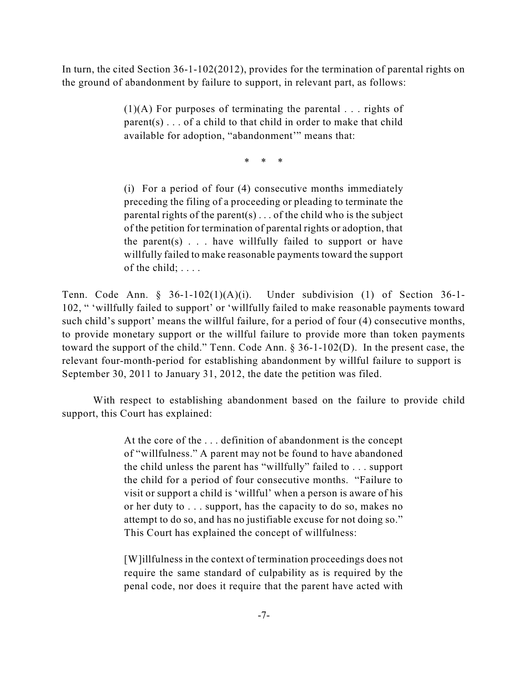In turn, the cited Section 36-1-102(2012), provides for the termination of parental rights on the ground of abandonment by failure to support, in relevant part, as follows:

> $(1)(A)$  For purposes of terminating the parental . . . rights of  $parent(s) \dots$  of a child to that child in order to make that child available for adoption, "abandonment'" means that:

> > \* \* \*

(i) For a period of four (4) consecutive months immediately preceding the filing of a proceeding or pleading to terminate the parental rights of the parent(s)... of the child who is the subject of the petition for termination of parental rights or adoption, that the parent(s)  $\ldots$  have willfully failed to support or have willfully failed to make reasonable payments toward the support of the child; ....

Tenn. Code Ann. § 36-1-102(1)(A)(i). Under subdivision (1) of Section 36-1- 102, " 'willfully failed to support' or 'willfully failed to make reasonable payments toward such child's support' means the willful failure, for a period of four (4) consecutive months, to provide monetary support or the willful failure to provide more than token payments toward the support of the child." Tenn. Code Ann. § 36-1-102(D). In the present case, the relevant four-month-period for establishing abandonment by willful failure to support is September 30, 2011 to January 31, 2012, the date the petition was filed.

With respect to establishing abandonment based on the failure to provide child support, this Court has explained:

> At the core of the . . . definition of abandonment is the concept of "willfulness." A parent may not be found to have abandoned the child unless the parent has "willfully" failed to . . . support the child for a period of four consecutive months. "Failure to visit or support a child is 'willful' when a person is aware of his or her duty to . . . support, has the capacity to do so, makes no attempt to do so, and has no justifiable excuse for not doing so." This Court has explained the concept of willfulness:

> [W]illfulness in the context of termination proceedings does not require the same standard of culpability as is required by the penal code, nor does it require that the parent have acted with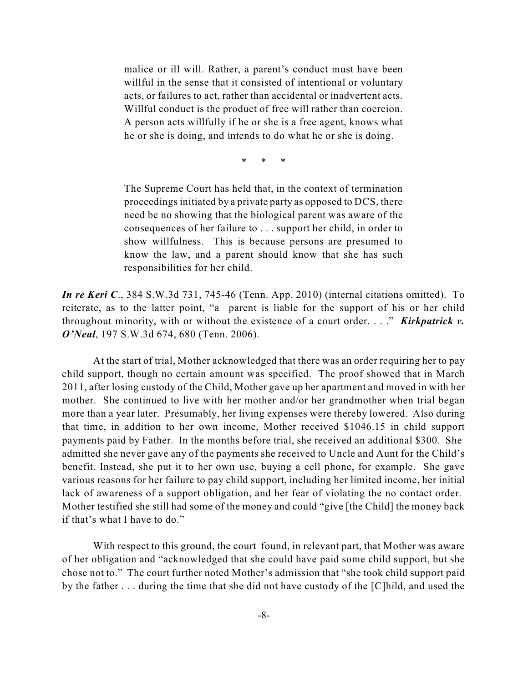malice or ill will. Rather, a parent's conduct must have been willful in the sense that it consisted of intentional or voluntary acts, or failures to act, rather than accidental or inadvertent acts. Willful conduct is the product of free will rather than coercion. A person acts willfully if he or she is a free agent, knows what he or she is doing, and intends to do what he or she is doing.

\* \* \*

The Supreme Court has held that, in the context of termination proceedings initiated by a private party as opposed to DCS, there need be no showing that the biological parent was aware of the consequences of her failure to . . . support her child, in order to show willfulness. This is because persons are presumed to know the law, and a parent should know that she has such responsibilities for her child.

*In re Keri C*., 384 S.W.3d 731, 745-46 (Tenn. App. 2010) (internal citations omitted). To reiterate, as to the latter point, "a parent is liable for the support of his or her child throughout minority, with or without the existence of a court order. . . ." *Kirkpatrick v. O'Neal*, 197 S.W.3d 674, 680 (Tenn. 2006).

At the start of trial, Mother acknowledged that there was an order requiring her to pay child support, though no certain amount was specified. The proof showed that in March 2011, after losing custody of the Child, Mother gave up her apartment and moved in with her mother. She continued to live with her mother and/or her grandmother when trial began more than a year later. Presumably, her living expenses were thereby lowered. Also during that time, in addition to her own income, Mother received \$1046.15 in child support payments paid by Father. In the months before trial, she received an additional \$300. She admitted she never gave any of the payments she received to Uncle and Aunt for the Child's benefit. Instead, she put it to her own use, buying a cell phone, for example. She gave various reasons for her failure to pay child support, including her limited income, her initial lack of awareness of a support obligation, and her fear of violating the no contact order. Mother testified she still had some of the money and could "give [the Child] the money back if that's what I have to do."

With respect to this ground, the court found, in relevant part, that Mother was aware of her obligation and "acknowledged that she could have paid some child support, but she chose not to." The court further noted Mother's admission that "she took child support paid by the father . . . during the time that she did not have custody of the [C]hild, and used the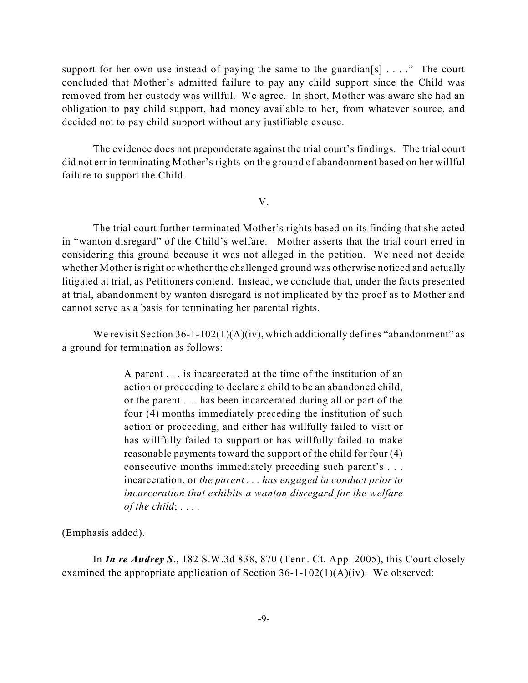support for her own use instead of paying the same to the guardian [s]  $\ldots$  ." The court concluded that Mother's admitted failure to pay any child support since the Child was removed from her custody was willful. We agree. In short, Mother was aware she had an obligation to pay child support, had money available to her, from whatever source, and decided not to pay child support without any justifiable excuse.

The evidence does not preponderate against the trial court's findings. The trial court did not err in terminating Mother's rights on the ground of abandonment based on her willful failure to support the Child.

### V.

The trial court further terminated Mother's rights based on its finding that she acted in "wanton disregard" of the Child's welfare. Mother asserts that the trial court erred in considering this ground because it was not alleged in the petition. We need not decide whether Mother is right or whether the challenged ground was otherwise noticed and actually litigated at trial, as Petitioners contend. Instead, we conclude that, under the facts presented at trial, abandonment by wanton disregard is not implicated by the proof as to Mother and cannot serve as a basis for terminating her parental rights.

We revisit Section  $36-1-102(1)(A)(iv)$ , which additionally defines "abandonment" as a ground for termination as follows:

> A parent . . . is incarcerated at the time of the institution of an action or proceeding to declare a child to be an abandoned child, or the parent . . . has been incarcerated during all or part of the four (4) months immediately preceding the institution of such action or proceeding, and either has willfully failed to visit or has willfully failed to support or has willfully failed to make reasonable payments toward the support of the child for four (4) consecutive months immediately preceding such parent's . . . incarceration, or *the parent . . . has engaged in conduct prior to incarceration that exhibits a wanton disregard for the welfare of the child*; . . . .

(Emphasis added).

In *In re Audrey S*., 182 S.W.3d 838, 870 (Tenn. Ct. App. 2005), this Court closely examined the appropriate application of Section  $36-1-102(1)(A)(iv)$ . We observed: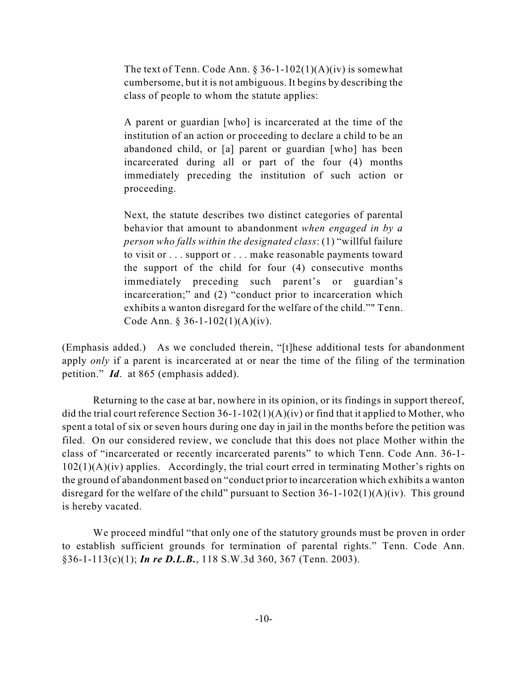The text of Tenn. Code Ann.  $\S 36-1-102(1)(A)(iv)$  is somewhat cumbersome, but it is not ambiguous. It begins by describing the class of people to whom the statute applies:

A parent or guardian [who] is incarcerated at the time of the institution of an action or proceeding to declare a child to be an abandoned child, or [a] parent or guardian [who] has been incarcerated during all or part of the four (4) months immediately preceding the institution of such action or proceeding.

Next, the statute describes two distinct categories of parental behavior that amount to abandonment *when engaged in by a person who falls within the designated class*: (1) "willful failure to visit or . . . support or . . . make reasonable payments toward the support of the child for four (4) consecutive months immediately preceding such parent's or guardian's incarceration;" and (2) "conduct prior to incarceration which exhibits a wanton disregard for the welfare of the child."" Tenn. Code Ann. § 36-1-102(1)(A)(iv).

(Emphasis added.) As we concluded therein, "[t]hese additional tests for abandonment apply *only* if a parent is incarcerated at or near the time of the filing of the termination petition." *Id*. at 865 (emphasis added).

Returning to the case at bar, nowhere in its opinion, or its findings in support thereof, did the trial court reference Section 36-1-102(1)(A)(iv) or find that it applied to Mother, who spent a total of six or seven hours during one day in jail in the months before the petition was filed. On our considered review, we conclude that this does not place Mother within the class of "incarcerated or recently incarcerated parents" to which Tenn. Code Ann. 36-1-  $102(1)(A)(iv)$  applies. Accordingly, the trial court erred in terminating Mother's rights on the ground of abandonment based on "conduct prior to incarceration which exhibits a wanton disregard for the welfare of the child" pursuant to Section 36-1-102(1)(A)(iv). This ground is hereby vacated.

We proceed mindful "that only one of the statutory grounds must be proven in order to establish sufficient grounds for termination of parental rights." Tenn. Code Ann. §36-1-113(c)(1); *In re D.L.B.*, 118 S.W.3d 360, 367 (Tenn. 2003).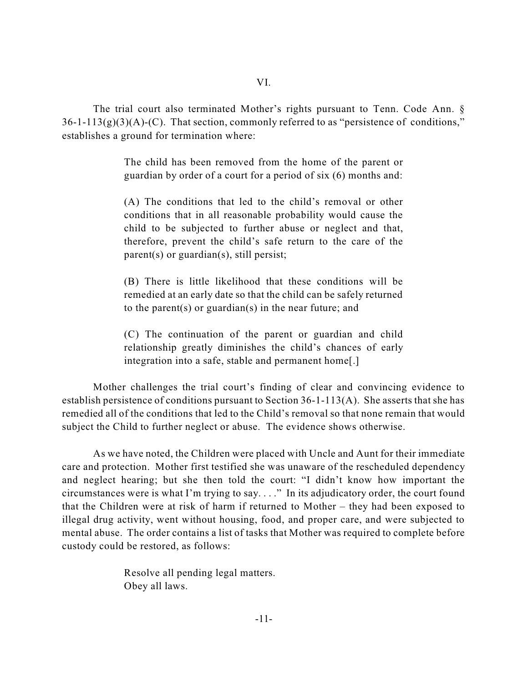The trial court also terminated Mother's rights pursuant to Tenn. Code Ann. §  $36-1-113(g)(3)(A)-(C)$ . That section, commonly referred to as "persistence of conditions," establishes a ground for termination where:

> The child has been removed from the home of the parent or guardian by order of a court for a period of six (6) months and:

> (A) The conditions that led to the child's removal or other conditions that in all reasonable probability would cause the child to be subjected to further abuse or neglect and that, therefore, prevent the child's safe return to the care of the parent(s) or guardian(s), still persist;

> (B) There is little likelihood that these conditions will be remedied at an early date so that the child can be safely returned to the parent(s) or guardian(s) in the near future; and

> (C) The continuation of the parent or guardian and child relationship greatly diminishes the child's chances of early integration into a safe, stable and permanent home[.]

Mother challenges the trial court's finding of clear and convincing evidence to establish persistence of conditions pursuant to Section 36-1-113(A). She asserts that she has remedied all of the conditions that led to the Child's removal so that none remain that would subject the Child to further neglect or abuse. The evidence shows otherwise.

As we have noted, the Children were placed with Uncle and Aunt for their immediate care and protection. Mother first testified she was unaware of the rescheduled dependency and neglect hearing; but she then told the court: "I didn't know how important the circumstances were is what I'm trying to say. . . ." In its adjudicatory order, the court found that the Children were at risk of harm if returned to Mother – they had been exposed to illegal drug activity, went without housing, food, and proper care, and were subjected to mental abuse. The order contains a list of tasks that Mother was required to complete before custody could be restored, as follows:

> Resolve all pending legal matters. Obey all laws.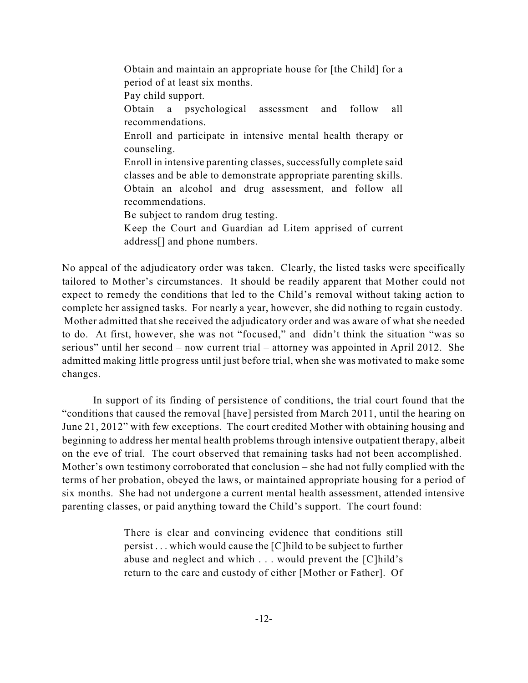Obtain and maintain an appropriate house for [the Child] for a period of at least six months. Pay child support. Obtain a psychological assessment and follow all recommendations. Enroll and participate in intensive mental health therapy or counseling. Enroll in intensive parenting classes, successfully complete said classes and be able to demonstrate appropriate parenting skills. Obtain an alcohol and drug assessment, and follow all recommendations. Be subject to random drug testing. Keep the Court and Guardian ad Litem apprised of current address[] and phone numbers.

No appeal of the adjudicatory order was taken. Clearly, the listed tasks were specifically tailored to Mother's circumstances. It should be readily apparent that Mother could not expect to remedy the conditions that led to the Child's removal without taking action to complete her assigned tasks. For nearly a year, however, she did nothing to regain custody. Mother admitted that she received the adjudicatory order and was aware of what she needed to do. At first, however, she was not "focused," and didn't think the situation "was so serious" until her second – now current trial – attorney was appointed in April 2012. She admitted making little progress until just before trial, when she was motivated to make some changes.

In support of its finding of persistence of conditions, the trial court found that the "conditions that caused the removal [have] persisted from March 2011, until the hearing on June 21, 2012" with few exceptions. The court credited Mother with obtaining housing and beginning to address her mental health problems through intensive outpatient therapy, albeit on the eve of trial. The court observed that remaining tasks had not been accomplished. Mother's own testimony corroborated that conclusion – she had not fully complied with the terms of her probation, obeyed the laws, or maintained appropriate housing for a period of six months. She had not undergone a current mental health assessment, attended intensive parenting classes, or paid anything toward the Child's support. The court found:

> There is clear and convincing evidence that conditions still persist . . . which would cause the [C]hild to be subject to further abuse and neglect and which . . . would prevent the [C]hild's return to the care and custody of either [Mother or Father]. Of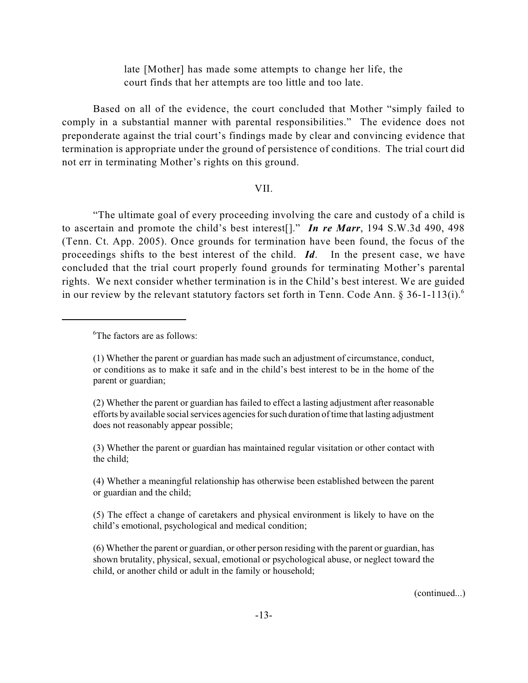late [Mother] has made some attempts to change her life, the court finds that her attempts are too little and too late.

Based on all of the evidence, the court concluded that Mother "simply failed to comply in a substantial manner with parental responsibilities." The evidence does not preponderate against the trial court's findings made by clear and convincing evidence that termination is appropriate under the ground of persistence of conditions. The trial court did not err in terminating Mother's rights on this ground.

### VII.

"The ultimate goal of every proceeding involving the care and custody of a child is to ascertain and promote the child's best interest[]." *In re Marr*, 194 S.W.3d 490, 498 (Tenn. Ct. App. 2005). Once grounds for termination have been found, the focus of the proceedings shifts to the best interest of the child. *Id*. In the present case, we have concluded that the trial court properly found grounds for terminating Mother's parental rights. We next consider whether termination is in the Child's best interest. We are guided in our review by the relevant statutory factors set forth in Tenn. Code Ann.  $\S 36$ -1-113(i).

(2) Whether the parent or guardian has failed to effect a lasting adjustment after reasonable efforts by available social services agencies forsuch duration of time that lasting adjustment does not reasonably appear possible;

(3) Whether the parent or guardian has maintained regular visitation or other contact with the child;

(4) Whether a meaningful relationship has otherwise been established between the parent or guardian and the child;

(5) The effect a change of caretakers and physical environment is likely to have on the child's emotional, psychological and medical condition;

(6) Whether the parent or guardian, or other person residing with the parent or guardian, has shown brutality, physical, sexual, emotional or psychological abuse, or neglect toward the child, or another child or adult in the family or household;

(continued...)

 ${}^{6}$ The factors are as follows:

<sup>(1)</sup> Whether the parent or guardian has made such an adjustment of circumstance, conduct, or conditions as to make it safe and in the child's best interest to be in the home of the parent or guardian;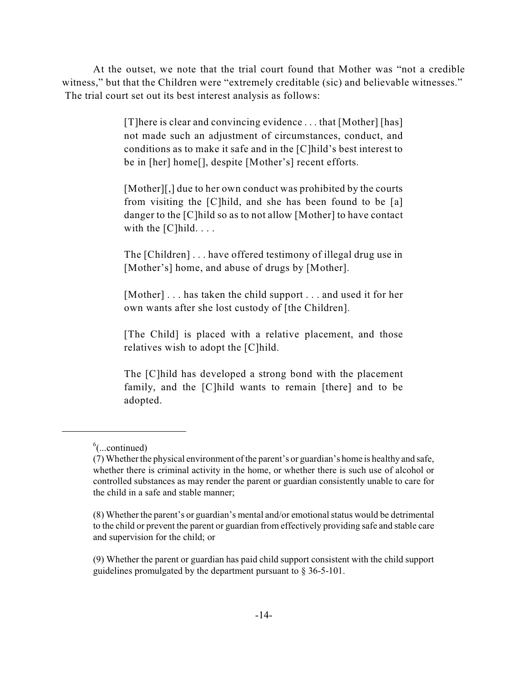At the outset, we note that the trial court found that Mother was "not a credible witness," but that the Children were "extremely creditable (sic) and believable witnesses." The trial court set out its best interest analysis as follows:

> [T]here is clear and convincing evidence . . . that [Mother] [has] not made such an adjustment of circumstances, conduct, and conditions as to make it safe and in the [C]hild's best interest to be in [her] home[], despite [Mother's] recent efforts.

> [Mother][,] due to her own conduct was prohibited by the courts from visiting the [C]hild, and she has been found to be [a] danger to the [C]hild so as to not allow [Mother] to have contact with the  $[C]$  hild.  $\ldots$

> The [Children] . . . have offered testimony of illegal drug use in [Mother's] home, and abuse of drugs by [Mother].

> [Mother] . . . has taken the child support . . . and used it for her own wants after she lost custody of [the Children].

> [The Child] is placed with a relative placement, and those relatives wish to adopt the [C]hild.

> The [C]hild has developed a strong bond with the placement family, and the [C]hild wants to remain [there] and to be adopted.

 $<sup>6</sup>$ (...continued)</sup>

<sup>(7)</sup> Whether the physical environment of the parent's or guardian's home is healthy and safe, whether there is criminal activity in the home, or whether there is such use of alcohol or controlled substances as may render the parent or guardian consistently unable to care for the child in a safe and stable manner;

<sup>(8)</sup> Whether the parent's or guardian's mental and/or emotionalstatus would be detrimental to the child or prevent the parent or guardian from effectively providing safe and stable care and supervision for the child; or

<sup>(9)</sup> Whether the parent or guardian has paid child support consistent with the child support guidelines promulgated by the department pursuant to § 36-5-101.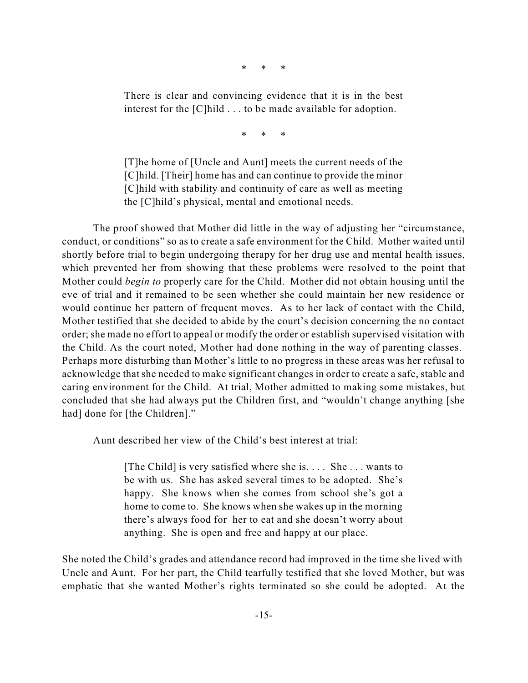\* \* \*

There is clear and convincing evidence that it is in the best interest for the [C]hild . . . to be made available for adoption.

\* \* \*

[T]he home of [Uncle and Aunt] meets the current needs of the [C]hild. [Their] home has and can continue to provide the minor [C]hild with stability and continuity of care as well as meeting the [C]hild's physical, mental and emotional needs.

The proof showed that Mother did little in the way of adjusting her "circumstance, conduct, or conditions" so as to create a safe environment for the Child. Mother waited until shortly before trial to begin undergoing therapy for her drug use and mental health issues, which prevented her from showing that these problems were resolved to the point that Mother could *begin to* properly care for the Child. Mother did not obtain housing until the eve of trial and it remained to be seen whether she could maintain her new residence or would continue her pattern of frequent moves. As to her lack of contact with the Child, Mother testified that she decided to abide by the court's decision concerning the no contact order; she made no effort to appeal or modify the order or establish supervised visitation with the Child. As the court noted, Mother had done nothing in the way of parenting classes. Perhaps more disturbing than Mother's little to no progress in these areas was her refusal to acknowledge that she needed to make significant changes in order to create a safe, stable and caring environment for the Child. At trial, Mother admitted to making some mistakes, but concluded that she had always put the Children first, and "wouldn't change anything [she had] done for [the Children]."

Aunt described her view of the Child's best interest at trial:

[The Child] is very satisfied where she is. . . . She . . . wants to be with us. She has asked several times to be adopted. She's happy. She knows when she comes from school she's got a home to come to. She knows when she wakes up in the morning there's always food for her to eat and she doesn't worry about anything. She is open and free and happy at our place.

She noted the Child's grades and attendance record had improved in the time she lived with Uncle and Aunt. For her part, the Child tearfully testified that she loved Mother, but was emphatic that she wanted Mother's rights terminated so she could be adopted. At the